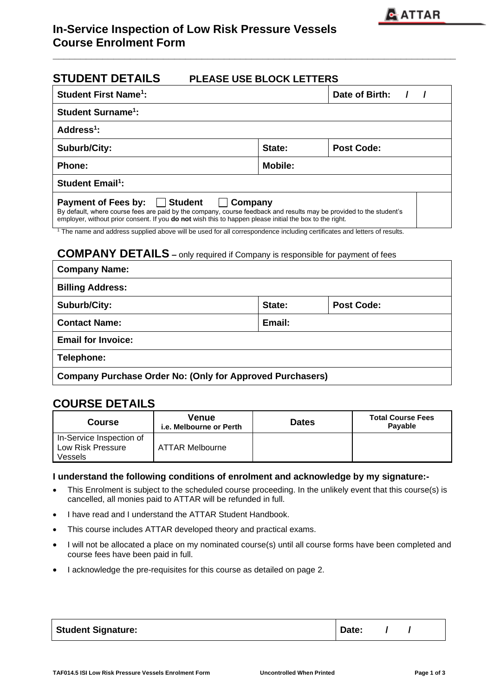| <b>STUDENT DETAILS</b>                                                                                                                                                                                                                                                                                                                                                                                                                                                                                        | <b>PLEASE USE BLOCK LETTERS</b> |                                              |  |
|---------------------------------------------------------------------------------------------------------------------------------------------------------------------------------------------------------------------------------------------------------------------------------------------------------------------------------------------------------------------------------------------------------------------------------------------------------------------------------------------------------------|---------------------------------|----------------------------------------------|--|
| <b>Student First Name<sup>1</sup>:</b>                                                                                                                                                                                                                                                                                                                                                                                                                                                                        |                                 | Date of Birth: /<br>$\overline{\phantom{a}}$ |  |
| <b>Student Surname<sup>1</sup>:</b>                                                                                                                                                                                                                                                                                                                                                                                                                                                                           |                                 |                                              |  |
| Address <sup>1</sup> :                                                                                                                                                                                                                                                                                                                                                                                                                                                                                        |                                 |                                              |  |
| <b>Suburb/City:</b>                                                                                                                                                                                                                                                                                                                                                                                                                                                                                           | State:                          | <b>Post Code:</b>                            |  |
| <b>Phone:</b>                                                                                                                                                                                                                                                                                                                                                                                                                                                                                                 | <b>Mobile:</b>                  |                                              |  |
| <b>Student Email<sup>1</sup></b> :                                                                                                                                                                                                                                                                                                                                                                                                                                                                            |                                 |                                              |  |
| <b>Payment of Fees by:</b><br><b>Student</b><br>By default, where course fees are paid by the company, course feedback and results may be provided to the student's<br>employer, without prior consent. If you do not wish this to happen please initial the box to the right.<br><sup>1</sup> The name and address supplied above will be used for all correspondence including certificates and letters of results.<br><b>COMPANY DETAILS</b> - only required if Company is responsible for payment of fees | Company                         |                                              |  |
| <b>Company Name:</b>                                                                                                                                                                                                                                                                                                                                                                                                                                                                                          |                                 |                                              |  |
| <b>Billing Address:</b>                                                                                                                                                                                                                                                                                                                                                                                                                                                                                       |                                 |                                              |  |
| <b>Suburb/City:</b>                                                                                                                                                                                                                                                                                                                                                                                                                                                                                           | State:                          | <b>Post Code:</b>                            |  |
| <b>Contact Name:</b>                                                                                                                                                                                                                                                                                                                                                                                                                                                                                          | Email:                          |                                              |  |
| <b>Email for Invoice:</b>                                                                                                                                                                                                                                                                                                                                                                                                                                                                                     |                                 |                                              |  |

**\_\_\_\_\_\_\_\_\_\_\_\_\_\_\_\_\_\_\_\_\_\_\_\_\_\_\_\_\_\_\_\_\_\_\_\_\_\_\_\_\_\_\_\_\_\_\_\_\_\_\_\_\_\_\_\_\_\_\_\_\_\_\_\_\_\_\_\_\_\_\_\_\_** 

**Telephone:**

**Company Purchase Order No: (Only for Approved Purchasers)**

## **COURSE DETAILS**

| Course                                                   | Venue<br>i.e. Melbourne or Perth | <b>Dates</b> | <b>Total Course Fees</b><br><b>Pavable</b> |
|----------------------------------------------------------|----------------------------------|--------------|--------------------------------------------|
| In-Service Inspection of<br>Low Risk Pressure<br>Vessels | ATTAR Melbourne                  |              |                                            |

### **I understand the following conditions of enrolment and acknowledge by my signature:-**

- This Enrolment is subject to the scheduled course proceeding. In the unlikely event that this course(s) is cancelled, all monies paid to ATTAR will be refunded in full.
- I have read and I understand the ATTAR Student Handbook.
- This course includes ATTAR developed theory and practical exams.
- I will not be allocated a place on my nominated course(s) until all course forms have been completed and course fees have been paid in full.
- I acknowledge the pre-requisites for this course as detailed on page 2.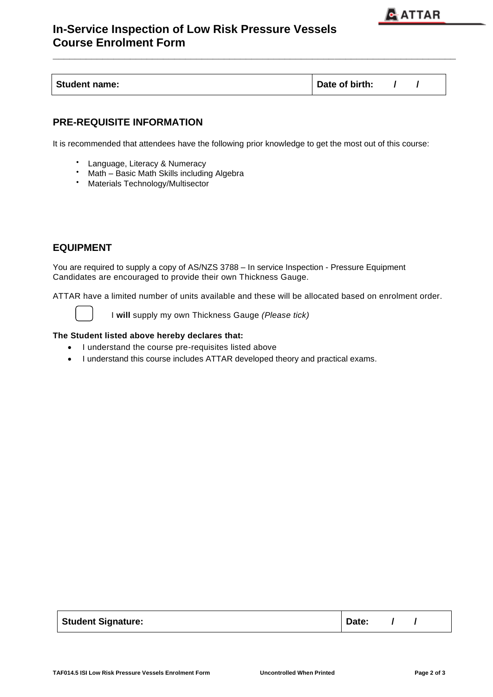

# **In-Service Inspection of Low Risk Pressure Vessels Course Enrolment Form**

| <b>Student name:</b> | Date of birth: |
|----------------------|----------------|
|----------------------|----------------|

**\_\_\_\_\_\_\_\_\_\_\_\_\_\_\_\_\_\_\_\_\_\_\_\_\_\_\_\_\_\_\_\_\_\_\_\_\_\_\_\_\_\_\_\_\_\_\_\_\_\_\_\_\_\_\_\_\_\_\_\_\_\_\_\_\_\_\_\_\_\_\_\_\_** 

## **PRE-REQUISITE INFORMATION**

It is recommended that attendees have the following prior knowledge to get the most out of this course:

- Language, Literacy & Numeracy
- Math Basic Math Skills including Algebra<br>• Materials Technology/Multisector
- Materials Technology/Multisector

### **EQUIPMENT**

You are required to supply a copy of AS/NZS 3788 – In service Inspection - Pressure Equipment Candidates are encouraged to provide their own Thickness Gauge.

ATTAR have a limited number of units available and these will be allocated based on enrolment order.

I **will** supply my own Thickness Gauge *(Please tick)*

#### **The Student listed above hereby declares that:**

- I understand the course pre-requisites listed above
- I understand this course includes ATTAR developed theory and practical exams.